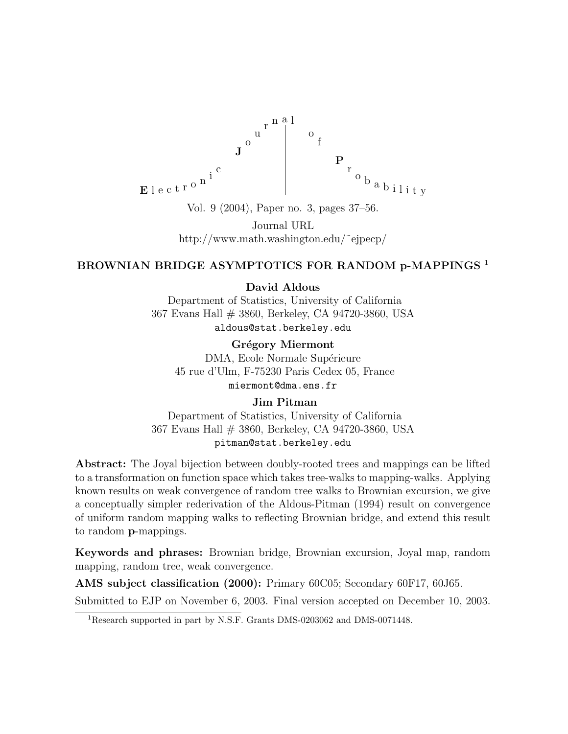

Vol. 9 (2004), Paper no. 3, pages 37–56.

Journal URL http://www.math.washington.edu/˜ejpecp/

### BROWNIAN BRIDGE ASYMPTOTICS FOR RANDOM p-MAPPINGS<sup>1</sup>

David Aldous

Department of Statistics, University of California 367 Evans Hall # 3860, Berkeley, CA 94720-3860, USA aldous@stat.berkeley.edu

Grégory Miermont DMA, Ecole Normale Supérieure 45 rue d'Ulm, F-75230 Paris Cedex 05, France miermont@dma.ens.fr

### Jim Pitman

Department of Statistics, University of California 367 Evans Hall # 3860, Berkeley, CA 94720-3860, USA pitman@stat.berkeley.edu

Abstract: The Joyal bijection between doubly-rooted trees and mappings can be lifted to a transformation on function space which takes tree-walks to mapping-walks. Applying known results on weak convergence of random tree walks to Brownian excursion, we give a conceptually simpler rederivation of the Aldous-Pitman (1994) result on convergence of uniform random mapping walks to reflecting Brownian bridge, and extend this result to random p-mappings.

Keywords and phrases: Brownian bridge, Brownian excursion, Joyal map, random mapping, random tree, weak convergence.

AMS subject classification (2000): Primary 60C05; Secondary 60F17, 60J65. Submitted to EJP on November 6, 2003. Final version accepted on December 10, 2003.

<sup>&</sup>lt;sup>1</sup>Research supported in part by N.S.F. Grants DMS-0203062 and DMS-0071448.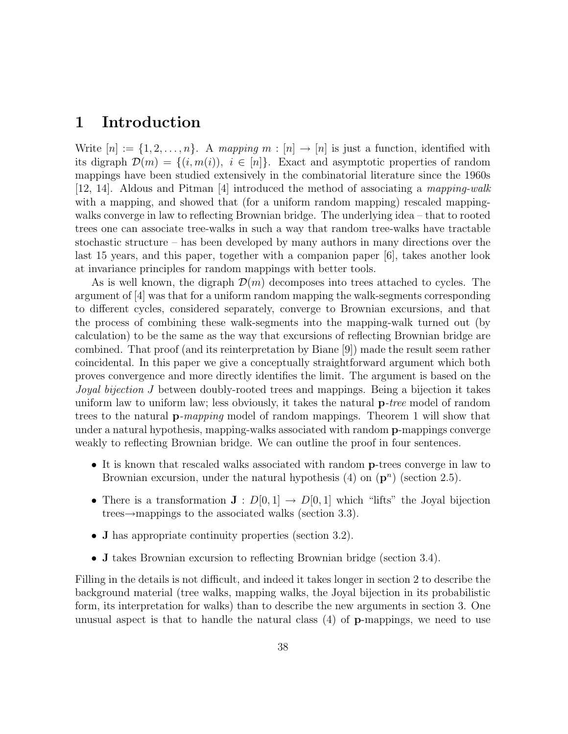## 1 Introduction

Write  $[n] := \{1, 2, \ldots, n\}$ . A mapping  $m : [n] \to [n]$  is just a function, identified with its digraph  $\mathcal{D}(m) = \{(i, m(i)), i \in [n]\}\$ . Exact and asymptotic properties of random mappings have been studied extensively in the combinatorial literature since the 1960s [12, 14]. Aldous and Pitman [4] introduced the method of associating a mapping-walk with a mapping, and showed that (for a uniform random mapping) rescaled mappingwalks converge in law to reflecting Brownian bridge. The underlying idea – that to rooted trees one can associate tree-walks in such a way that random tree-walks have tractable stochastic structure – has been developed by many authors in many directions over the last 15 years, and this paper, together with a companion paper [6], takes another look at invariance principles for random mappings with better tools.

As is well known, the digraph  $\mathcal{D}(m)$  decomposes into trees attached to cycles. The argument of [4] was that for a uniform random mapping the walk-segments corresponding to different cycles, considered separately, converge to Brownian excursions, and that the process of combining these walk-segments into the mapping-walk turned out (by calculation) to be the same as the way that excursions of reflecting Brownian bridge are combined. That proof (and its reinterpretation by Biane [9]) made the result seem rather coincidental. In this paper we give a conceptually straightforward argument which both proves convergence and more directly identifies the limit. The argument is based on the Joyal bijection J between doubly-rooted trees and mappings. Being a bijection it takes uniform law to uniform law; less obviously, it takes the natural **p**-tree model of random trees to the natural p-mapping model of random mappings. Theorem 1 will show that under a natural hypothesis, mapping-walks associated with random p-mappings converge weakly to reflecting Brownian bridge. We can outline the proof in four sentences.

- It is known that rescaled walks associated with random p-trees converge in law to Brownian excursion, under the natural hypothesis  $(4)$  on  $(p^n)$  (section 2.5).
- There is a transformation  $J: D[0,1] \to D[0,1]$  which "lifts" the Joyal bijection trees→mappings to the associated walks (section 3.3).
- **J** has appropriate continuity properties (section 3.2).
- J takes Brownian excursion to reflecting Brownian bridge (section 3.4).

Filling in the details is not difficult, and indeed it takes longer in section 2 to describe the background material (tree walks, mapping walks, the Joyal bijection in its probabilistic form, its interpretation for walks) than to describe the new arguments in section 3. One unusual aspect is that to handle the natural class  $(4)$  of **p**-mappings, we need to use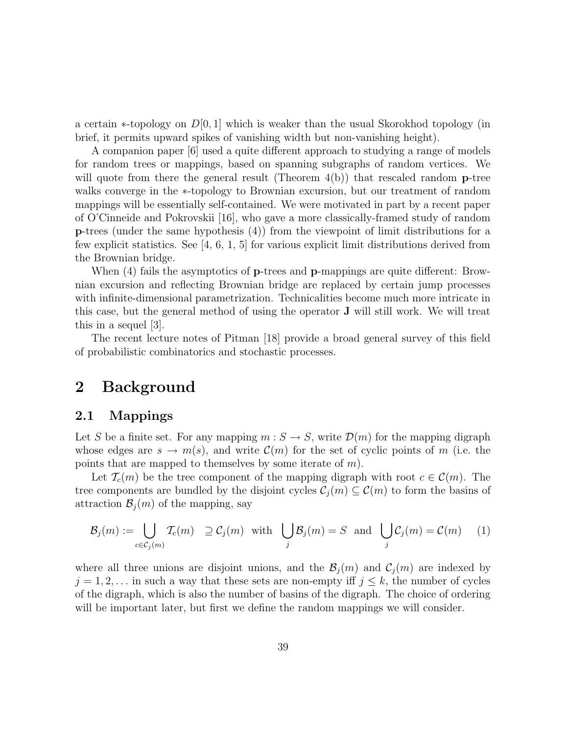a certain  $\ast$ -topology on  $D[0, 1]$  which is weaker than the usual Skorokhod topology (in brief, it permits upward spikes of vanishing width but non-vanishing height).

A companion paper [6] used a quite different approach to studying a range of models for random trees or mappings, based on spanning subgraphs of random vertices. We will quote from there the general result (Theorem  $4(b)$ ) that rescaled random **p**-tree walks converge in the ∗-topology to Brownian excursion, but our treatment of random mappings will be essentially self-contained. We were motivated in part by a recent paper of O'Cinneide and Pokrovskii [16], who gave a more classically-framed study of random p-trees (under the same hypothesis (4)) from the viewpoint of limit distributions for a few explicit statistics. See [4, 6, 1, 5] for various explicit limit distributions derived from the Brownian bridge.

When (4) fails the asymptotics of **p**-trees and **p**-mappings are quite different: Brownian excursion and reflecting Brownian bridge are replaced by certain jump processes with infinite-dimensional parametrization. Technicalities become much more intricate in this case, but the general method of using the operator J will still work. We will treat this in a sequel [3].

The recent lecture notes of Pitman [18] provide a broad general survey of this field of probabilistic combinatorics and stochastic processes.

## 2 Background

### 2.1 Mappings

Let S be a finite set. For any mapping  $m : S \to S$ , write  $\mathcal{D}(m)$  for the mapping digraph whose edges are  $s \to m(s)$ , and write  $\mathcal{C}(m)$  for the set of cyclic points of m (i.e. the points that are mapped to themselves by some iterate of  $m$ ).

Let  $\mathcal{T}_{c}(m)$  be the tree component of the mapping digraph with root  $c \in \mathcal{C}(m)$ . The tree components are bundled by the disjoint cycles  $C_i(m) \subseteq C(m)$  to form the basins of attraction  $\mathcal{B}_i(m)$  of the mapping, say

$$
\mathcal{B}_j(m) := \bigcup_{c \in \mathcal{C}_j(m)} \mathcal{T}_c(m) \supseteq \mathcal{C}_j(m) \quad \text{with} \quad \bigcup_j \mathcal{B}_j(m) = S \quad \text{and} \quad \bigcup_j \mathcal{C}_j(m) = \mathcal{C}(m) \tag{1}
$$

where all three unions are disjoint unions, and the  $\mathcal{B}_i(m)$  and  $\mathcal{C}_i(m)$  are indexed by  $j = 1, 2, \ldots$  in such a way that these sets are non-empty iff  $j \leq k$ , the number of cycles of the digraph, which is also the number of basins of the digraph. The choice of ordering will be important later, but first we define the random mappings we will consider.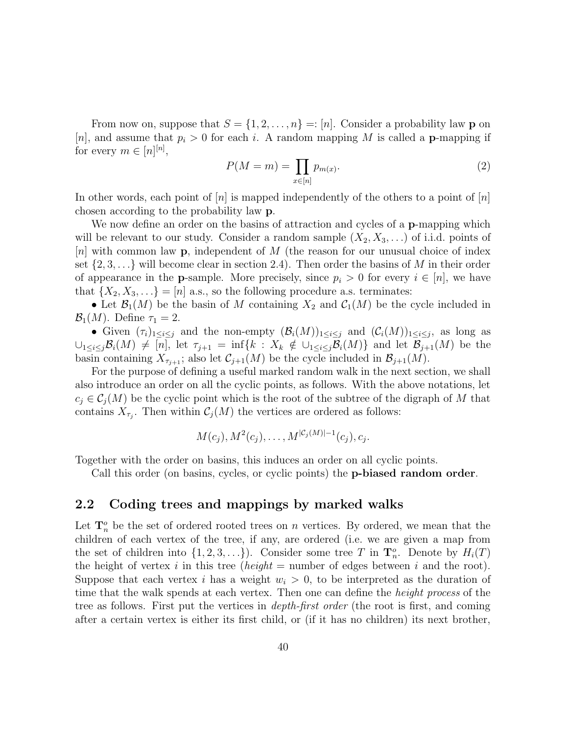From now on, suppose that  $S = \{1, 2, ..., n\} =: [n]$ . Consider a probability law **p** on [n], and assume that  $p_i > 0$  for each i. A random mapping M is called a **p**-mapping if for every  $m \in [n]^{[n]},$ 

$$
P(M=m) = \prod_{x \in [n]} p_{m(x)}.\tag{2}
$$

In other words, each point of  $[n]$  is mapped independently of the others to a point of  $[n]$ chosen according to the probability law p.

We now define an order on the basins of attraction and cycles of a **p**-mapping which will be relevant to our study. Consider a random sample  $(X_2, X_3, \ldots)$  of i.i.d. points of  $[n]$  with common law **p**, independent of M (the reason for our unusual choice of index set  $\{2, 3, \ldots\}$  will become clear in section 2.4). Then order the basins of M in their order of appearance in the **p**-sample. More precisely, since  $p_i > 0$  for every  $i \in [n]$ , we have that  $\{X_2, X_3, \ldots\} = [n]$  a.s., so the following procedure a.s. terminates:

• Let  $\mathcal{B}_1(M)$  be the basin of M containing  $X_2$  and  $\mathcal{C}_1(M)$  be the cycle included in  $\mathcal{B}_1(M)$ . Define  $\tau_1 = 2$ .

• Given  $(\tau_i)_{1\leq i\leq j}$  and the non-empty  $(\mathcal{B}_i(M))_{1\leq i\leq j}$  and  $(\mathcal{C}_i(M))_{1\leq i\leq j}$ , as long as  $\bigcup_{1\leq i\leq j}B_i(M)\neq [n],$  let  $\tau_{j+1}=\inf\{k\,:\,X_k\notin \bigcup_{1\leq i\leq j}B_i(M)\}\$  and let  $\mathcal{B}_{j+1}(M)$  be the basin containing  $X_{\tau_{j+1}}$ ; also let  $\mathcal{C}_{j+1}(M)$  be the cycle included in  $\mathcal{B}_{j+1}(M)$ .

For the purpose of defining a useful marked random walk in the next section, we shall also introduce an order on all the cyclic points, as follows. With the above notations, let  $c_i \in \mathcal{C}_i(M)$  be the cyclic point which is the root of the subtree of the digraph of M that contains  $X_{\tau_j}$ . Then within  $\mathcal{C}_j(M)$  the vertices are ordered as follows:

$$
M(c_j), M^2(c_j), \ldots, M^{|\mathcal{C}_j(M)|-1}(c_j), c_j.
$$

Together with the order on basins, this induces an order on all cyclic points.

Call this order (on basins, cycles, or cyclic points) the p-biased random order.

### 2.2 Coding trees and mappings by marked walks

Let  $\mathbf{T}_n^o$  be the set of ordered rooted trees on n vertices. By ordered, we mean that the children of each vertex of the tree, if any, are ordered (i.e. we are given a map from the set of children into  $\{1, 2, 3, \ldots\}$ . Consider some tree T in  $\mathbf{T}_n^o$ . Denote by  $H_i(T)$ the height of vertex i in this tree (height = number of edges between i and the root). Suppose that each vertex i has a weight  $w_i > 0$ , to be interpreted as the duration of time that the walk spends at each vertex. Then one can define the *height process* of the tree as follows. First put the vertices in depth-first order (the root is first, and coming after a certain vertex is either its first child, or (if it has no children) its next brother,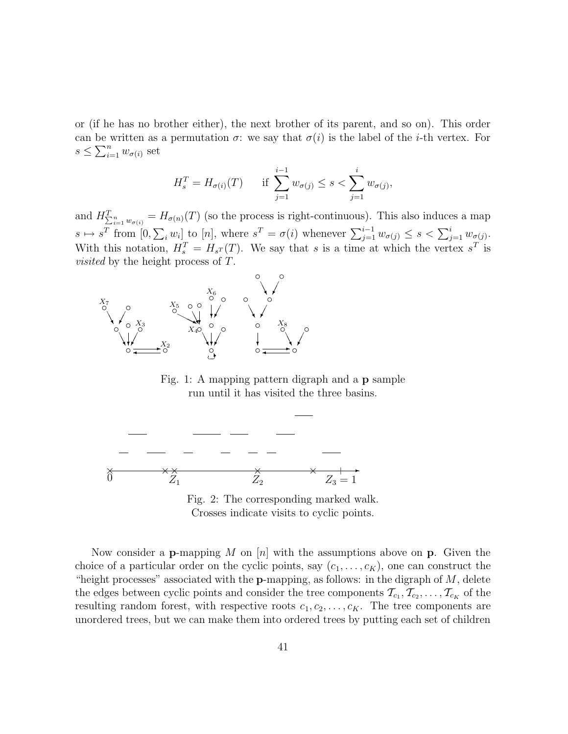or (if he has no brother either), the next brother of its parent, and so on). This order can be written as a permutation  $\sigma$ : we say that  $\sigma(i)$  is the label of the *i*-th vertex. For  $s \leq \sum_{i=1}^n w_{\sigma(i)}$  set

$$
H_s^T = H_{\sigma(i)}(T) \quad \text{if } \sum_{j=1}^{i-1} w_{\sigma(j)} \le s < \sum_{j=1}^i w_{\sigma(j)},
$$

and  $H_{\sum_{i=1}^n w_{\sigma(i)}}^T = H_{\sigma(n)}(T)$  (so the process is right-continuous). This also induces a map  $s \mapsto s^T$  from  $[0, \sum_i w_i]$  to  $[n]$ , where  $s^T = \sigma(i)$  whenever  $\sum_{j=1}^{i-1} w_{\sigma(j)} \leq s < \sum_{j=1}^{i} w_{\sigma(j)}$ . With this notation,  $H_s^T = H_{sT}(T)$ . We say that s is a time at which the vertex  $s^T$  is *visited* by the height process of T.



Fig. 1: A mapping pattern digraph and a p sample run until it has visited the three basins.





Now consider a **p**-mapping M on  $[n]$  with the assumptions above on **p**. Given the choice of a particular order on the cyclic points, say  $(c_1, \ldots, c_K)$ , one can construct the "height processes" associated with the **p**-mapping, as follows: in the digraph of  $M$ , delete the edges between cyclic points and consider the tree components  $\mathcal{T}_{c_1}, \mathcal{T}_{c_2}, \ldots, \mathcal{T}_{c_K}$  of the resulting random forest, with respective roots  $c_1, c_2, \ldots, c_K$ . The tree components are unordered trees, but we can make them into ordered trees by putting each set of children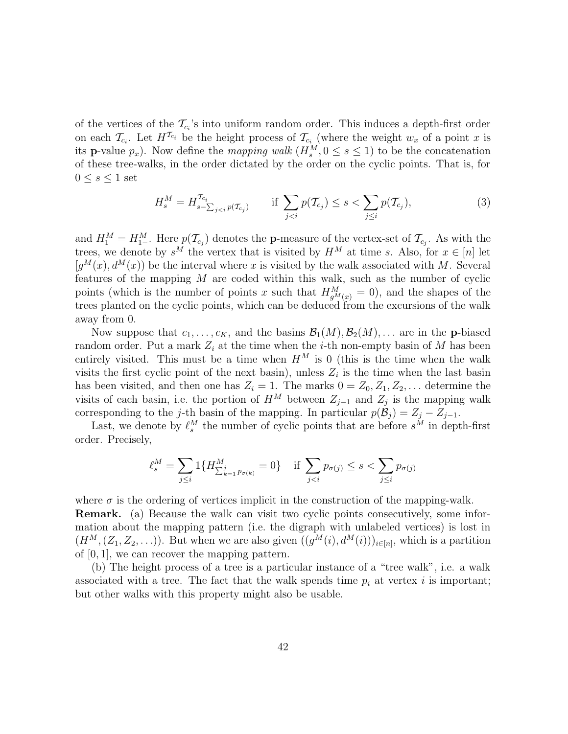of the vertices of the  $\mathcal{T}_{c_i}$ 's into uniform random order. This induces a depth-first order on each  $\mathcal{T}_{c_i}$ . Let  $H^{T_{c_i}}$  be the height process of  $\mathcal{T}_{c_i}$  (where the weight  $w_x$  of a point x is its **p**-value  $p_x$ ). Now define the mapping walk  $(H_s^M, 0 \le s \le 1)$  to be the concatenation of these tree-walks, in the order dictated by the order on the cyclic points. That is, for  $0 \leq s \leq 1$  set

$$
H_s^M = H_{s-\sum_{j
$$

and  $H_1^M = H_{1-}^M$ . Here  $p(\mathcal{T}_{c_j})$  denotes the **p**-measure of the vertex-set of  $\mathcal{T}_{c_j}$ . As with the trees, we denote by  $s^M$  the vertex that is visited by  $H^M$  at time s. Also, for  $x \in [n]$  let  $[g^{M}(x), d^{M}(x)]$  be the interval where x is visited by the walk associated with M. Several features of the mapping M are coded within this walk, such as the number of cyclic points (which is the number of points x such that  $H_{g^M(x)}^M = 0$ ), and the shapes of the trees planted on the cyclic points, which can be deduced from the excursions of the walk away from 0.

Now suppose that  $c_1, \ldots, c_K$ , and the basins  $\mathcal{B}_1(M), \mathcal{B}_2(M), \ldots$  are in the **p**-biased random order. Put a mark  $Z_i$  at the time when the *i*-th non-empty basin of M has been entirely visited. This must be a time when  $H^M$  is 0 (this is the time when the walk visits the first cyclic point of the next basin), unless  $Z_i$  is the time when the last basin has been visited, and then one has  $Z_i = 1$ . The marks  $0 = Z_0, Z_1, Z_2, \ldots$  determine the visits of each basin, i.e. the portion of  $H^M$  between  $Z_{j-1}$  and  $Z_j$  is the mapping walk corresponding to the j-th basin of the mapping. In particular  $p(\mathcal{B}_j) = Z_j - Z_{j-1}$ .

Last, we denote by  $\ell_s^M$  the number of cyclic points that are before  $s^M$  in depth-first order. Precisely,

$$
\ell_s^M = \sum_{j \le i} 1\{H^M_{\sum_{k=1}^j p_{\sigma(k)}} = 0\} \quad \text{if } \sum_{j < i} p_{\sigma(j)} \le s < \sum_{j \le i} p_{\sigma(j)}
$$

where  $\sigma$  is the ordering of vertices implicit in the construction of the mapping-walk. Remark. (a) Because the walk can visit two cyclic points consecutively, some information about the mapping pattern (i.e. the digraph with unlabeled vertices) is lost in  $(H^M, (Z_1, Z_2, \ldots))$ . But when we are also given  $((g^M(i), d^M(i)))_{i \in [n]},$  which is a partition of  $[0, 1]$ , we can recover the mapping pattern.

(b) The height process of a tree is a particular instance of a "tree walk", i.e. a walk associated with a tree. The fact that the walk spends time  $p_i$  at vertex i is important; but other walks with this property might also be usable.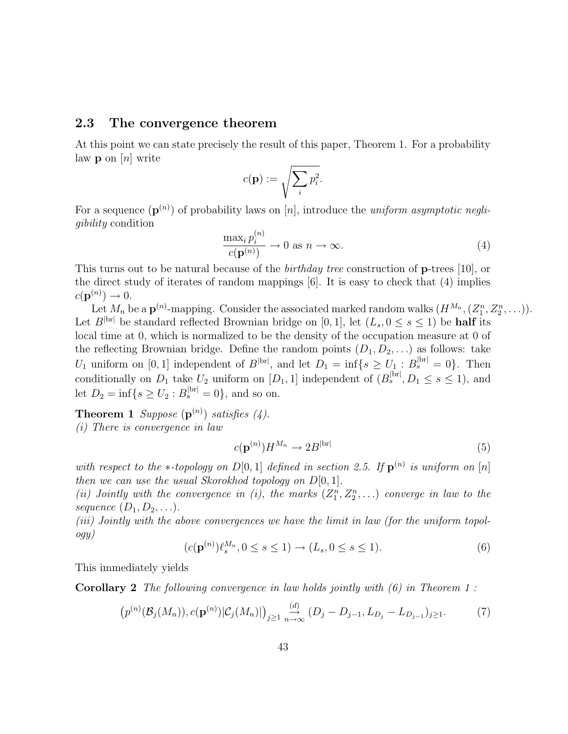#### 2.3 The convergence theorem

At this point we can state precisely the result of this paper, Theorem 1. For a probability law  $\mathbf{p}$  on  $[n]$  write

$$
c(\mathbf{p}) := \sqrt{\sum_i p_i^2}.
$$

For a sequence  $(\mathbf{p}^{(n)})$  of probability laws on [n], introduce the uniform asymptotic negligibility condition

$$
\frac{\max_{i} p_{i}^{(n)}}{c(\mathbf{p}^{(n)})} \to 0 \text{ as } n \to \infty.
$$
\n(4)

This turns out to be natural because of the birthday tree construction of p-trees [10], or the direct study of iterates of random mappings [6]. It is easy to check that (4) implies  $c(\mathbf{p}^{(n)}) \to 0.$ 

Let  $M_n$  be a  $\mathbf{p}^{(n)}$ -mapping. Consider the associated marked random walks  $(H^{M_n}, (Z_1^n, Z_2^n, \ldots)).$ Let  $B^{|\text{br}|}$  be standard reflected Brownian bridge on [0, 1], let  $(L_s, 0 \le s \le 1)$  be **half** its local time at 0, which is normalized to be the density of the occupation measure at 0 of the reflecting Brownian bridge. Define the random points  $(D_1, D_2, \ldots)$  as follows: take  $U_1$  uniform on [0, 1] independent of  $B^{|\text{br}|}$ , and let  $D_1 = \inf\{s \geq U_1 : B_s^{|\text{br}|} = 0\}$ . Then conditionally on  $D_1$  take  $U_2$  uniform on  $[D_1, 1]$  independent of  $(B_s^{\text{[br]}}, D_1 \leq s \leq 1)$ , and let  $D_2 = \inf\{s \ge U_2 : B_s^{\text{bri}} = 0\}$ , and so on.

**Theorem 1** Suppose  $(\mathbf{p}^{(n)})$  satisfies  $(4)$ . (i) There is convergence in law

$$
c(\mathbf{p}^{(n)})H^{M_n} \to 2B^{|\text{br}|} \tag{5}
$$

with respect to the  $\ast$ -topology on D[0,1] defined in section 2.5. If  $\mathbf{p}^{(n)}$  is uniform on [n] then we can use the usual Skorokhod topology on  $D[0, 1]$ .

(ii) Jointly with the convergence in (i), the marks  $(Z_1^n, Z_2^n, \ldots)$  converge in law to the sequence  $(D_1, D_2, \ldots)$ .

(iii) Jointly with the above convergences we have the limit in law (for the uniform topology)

$$
(c(\mathbf{p}^{(n)})\ell_s^{M_n}, 0 \le s \le 1) \to (L_s, 0 \le s \le 1).
$$
 (6)

This immediately yields

**Corollary 2** The following convergence in law holds jointly with  $(6)$  in Theorem 1:

$$
(p^{(n)}(\mathcal{B}_{j}(M_{n})), c(\mathbf{p}^{(n)})|\mathcal{C}_{j}(M_{n})|)_{j\geq 1} \underset{n\to\infty}{\overset{(d)}{\to}} (D_{j}-D_{j-1}, L_{D_{j}}-L_{D_{j-1}})_{j\geq 1}.
$$
 (7)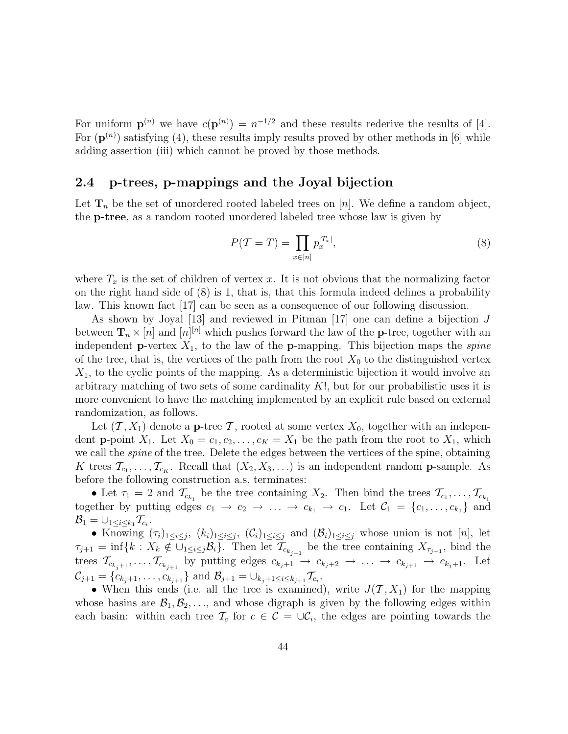For uniform  $\mathbf{p}^{(n)}$  we have  $c(\mathbf{p}^{(n)}) = n^{-1/2}$  and these results rederive the results of [4]. For  $(p^{(n)})$  satisfying (4), these results imply results proved by other methods in [6] while adding assertion (iii) which cannot be proved by those methods.

### 2.4 p-trees, p-mappings and the Joyal bijection

Let  $\mathbf{T}_n$  be the set of unordered rooted labeled trees on [n]. We define a random object, the p-tree, as a random rooted unordered labeled tree whose law is given by

$$
P(\mathcal{T} = T) = \prod_{x \in [n]} p_x^{|T_x|},\tag{8}
$$

where  $T_x$  is the set of children of vertex x. It is not obvious that the normalizing factor on the right hand side of (8) is 1, that is, that this formula indeed defines a probability law. This known fact [17] can be seen as a consequence of our following discussion.

As shown by Joyal [13] and reviewed in Pitman [17] one can define a bijection J between  $\mathbf{T}_n \times [n]$  and  $[n]^{[n]}$  which pushes forward the law of the **p**-tree, together with an independent **p**-vertex  $X_1$ , to the law of the **p**-mapping. This bijection maps the *spine* of the tree, that is, the vertices of the path from the root  $X_0$  to the distinguished vertex  $X_1$ , to the cyclic points of the mapping. As a deterministic bijection it would involve an arbitrary matching of two sets of some cardinality  $K!$ , but for our probabilistic uses it is more convenient to have the matching implemented by an explicit rule based on external randomization, as follows.

Let  $(\mathcal{T}, X_1)$  denote a **p**-tree  $\mathcal{T}$ , rooted at some vertex  $X_0$ , together with an independent **p**-point  $X_1$ . Let  $X_0 = c_1, c_2, \ldots, c_K = X_1$  be the path from the root to  $X_1$ , which we call the *spine* of the tree. Delete the edges between the vertices of the spine, obtaining K trees  $\mathcal{T}_{c_1}, \ldots, \mathcal{T}_{c_K}$ . Recall that  $(X_2, X_3, \ldots)$  is an independent random **p**-sample. As before the following construction a.s. terminates:

• Let  $\tau_1 = 2$  and  $\mathcal{T}_{c_{k_1}}$  be the tree containing  $X_2$ . Then bind the trees  $\mathcal{T}_{c_1}, \ldots, \mathcal{T}_{c_{k_1}}$ together by putting edges  $c_1 \rightarrow c_2 \rightarrow \ldots \rightarrow c_{k_1} \rightarrow c_1$ . Let  $\mathcal{C}_1 = \{c_1, \ldots, c_{k_1}\}\$  and  $\mathcal{B}_1 = \cup_{1 \leq i \leq k_1} \mathcal{T}_{c_i}.$ 

• Knowing  $(\tau_i)_{1\leq i\leq j}$ ,  $(k_i)_{1\leq i\leq j}$ ,  $(\mathcal{C}_i)_{1\leq i\leq j}$  and  $(\mathcal{B}_i)_{1\leq i\leq j}$  whose union is not  $[n]$ , let  $\tau_{j+1} = \inf\{k : X_k \notin \bigcup_{1 \leq i \leq j} B_i\}.$  Then let  $\mathcal{T}_{c_{k_{j+1}}}$  be the tree containing  $X_{\tau_{j+1}}$ , bind the trees  $\mathcal{T}_{c_{k_j+1}}, \ldots, \mathcal{T}_{c_{k_{j+1}}}$  by putting edges  $c_{k_j+1} \to c_{k_j+2} \to \ldots \to c_{k_{j+1}} \to c_{k_j+1}$ . Let  $\mathcal{C}_{j+1} = \{c_{k_j+1}, \ldots, c_{k_{j+1}}\}$  and  $\mathcal{B}_{j+1} = \bigcup_{k_j+1 \leq i \leq k_{j+1}} \mathcal{T}_{c_i}$ .

• When this ends (i.e. all the tree is examined), write  $J(\mathcal{T}, X_1)$  for the mapping whose basins are  $\mathcal{B}_1, \mathcal{B}_2, \ldots$ , and whose digraph is given by the following edges within each basin: within each tree  $\mathcal{T}_c$  for  $c \in \mathcal{C} = \cup \mathcal{C}_i$ , the edges are pointing towards the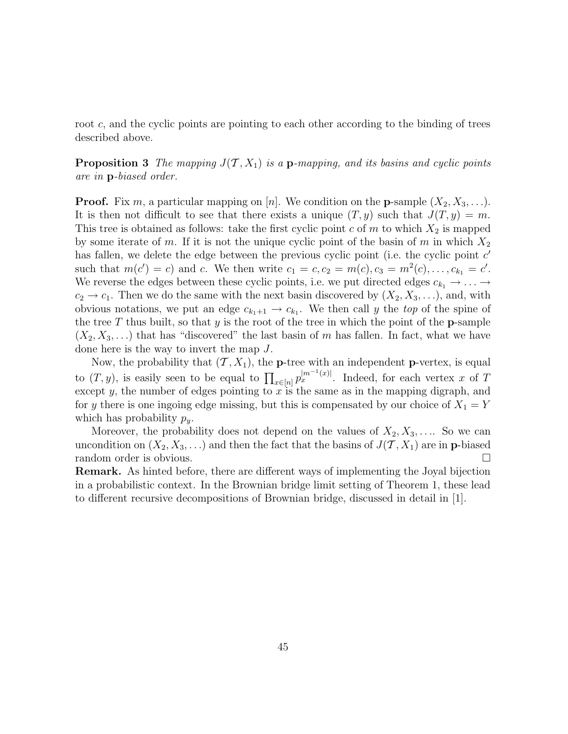root c, and the cyclic points are pointing to each other according to the binding of trees described above.

**Proposition 3** The mapping  $J(\mathcal{T}, X_1)$  is a **p**-mapping, and its basins and cyclic points are in p-biased order.

**Proof.** Fix m, a particular mapping on [n]. We condition on the **p**-sample  $(X_2, X_3, \ldots)$ . It is then not difficult to see that there exists a unique  $(T, y)$  such that  $J(T, y) = m$ . This tree is obtained as follows: take the first cyclic point c of m to which  $X_2$  is mapped by some iterate of m. If it is not the unique cyclic point of the basin of m in which  $X_2$ has fallen, we delete the edge between the previous cyclic point (i.e. the cyclic point  $c'$ such that  $m(c') = c$  and c. We then write  $c_1 = c, c_2 = m(c), c_3 = m^2(c), \ldots, c_{k_1} = c'$ . We reverse the edges between these cyclic points, i.e. we put directed edges  $c_{k_1} \rightarrow \ldots \rightarrow$  $c_2 \rightarrow c_1$ . Then we do the same with the next basin discovered by  $(X_2, X_3, \ldots)$ , and, with obvious notations, we put an edge  $c_{k_1+1} \to c_{k_1}$ . We then call y the top of the spine of the tree T thus built, so that y is the root of the tree in which the point of the **p**-sample  $(X_2, X_3, \ldots)$  that has "discovered" the last basin of m has fallen. In fact, what we have done here is the way to invert the map J.

Now, the probability that  $(\mathcal{T}, X_1)$ , the **p**-tree with an independent **p**-vertex, is equal to  $(T, y)$ , is easily seen to be equal to  $\prod_{x \in [n]} p_x^{|m^{-1}(x)|}$ . Indeed, for each vertex x of T except  $y$ , the number of edges pointing to  $x$  is the same as in the mapping digraph, and for y there is one ingoing edge missing, but this is compensated by our choice of  $X_1 = Y$ which has probability  $p_y$ .

Moreover, the probability does not depend on the values of  $X_2, X_3, \ldots$  So we can uncondition on  $(X_2, X_3, ...)$  and then the fact that the basins of  $J(\mathcal{T}, X_1)$  are in **p**-biased random order is obvious. random order is obvious.

Remark. As hinted before, there are different ways of implementing the Joyal bijection in a probabilistic context. In the Brownian bridge limit setting of Theorem 1, these lead to different recursive decompositions of Brownian bridge, discussed in detail in [1].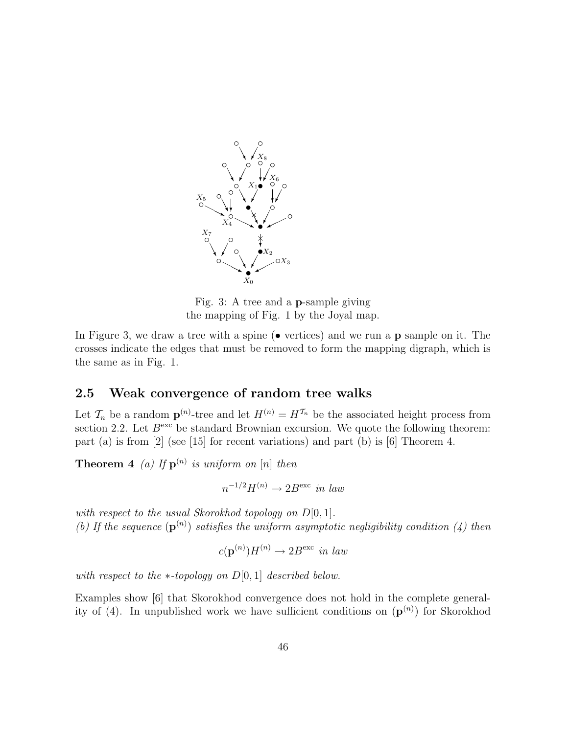

Fig. 3: A tree and a p-sample giving the mapping of Fig. 1 by the Joyal map.

In Figure 3, we draw a tree with a spine  $(\bullet \text{ vertices})$  and we run a **p** sample on it. The crosses indicate the edges that must be removed to form the mapping digraph, which is the same as in Fig. 1.

### 2.5 Weak convergence of random tree walks

Let  $\mathcal{T}_n$  be a random  $\mathbf{p}^{(n)}$ -tree and let  $H^{(n)} = H^{\mathcal{T}_n}$  be the associated height process from section 2.2. Let  $B<sup>exc</sup>$  be standard Brownian excursion. We quote the following theorem: part (a) is from [2] (see [15] for recent variations) and part (b) is [6] Theorem 4.

**Theorem 4** (a) If  $\mathbf{p}^{(n)}$  is uniform on [n] then

$$
n^{-1/2}H^{(n)} \to 2B^{\text{exc}} \text{ in } law
$$

with respect to the usual Skorokhod topology on  $D[0, 1]$ . (b) If the sequence  $(\mathbf{p}^{(n)})$  satisfies the uniform asymptotic negligibility condition (4) then

$$
c(\mathbf{p}^{(n)})H^{(n)} \to 2B^{\text{exc}} \text{ in } law
$$

with respect to the  $*$ -topology on  $D[0, 1]$  described below.

Examples show [6] that Skorokhod convergence does not hold in the complete generality of (4). In unpublished work we have sufficient conditions on  $(\mathbf{p}^{(n)})$  for Skorokhod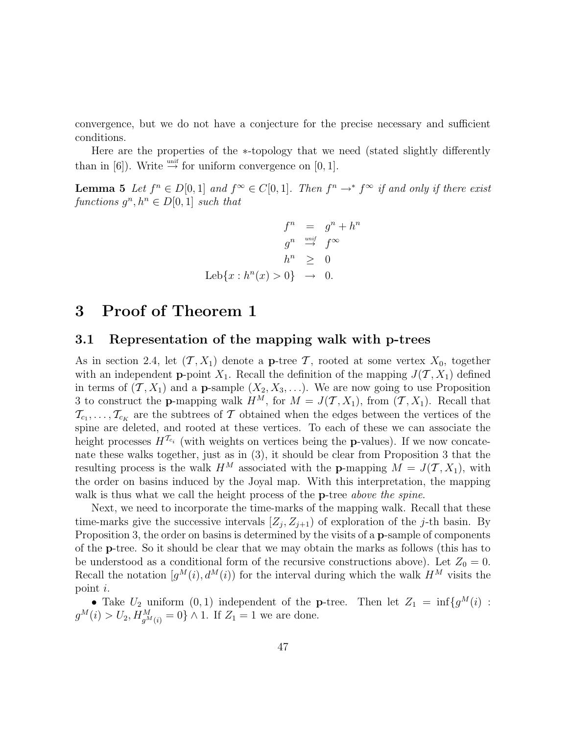convergence, but we do not have a conjecture for the precise necessary and sufficient conditions.

Here are the properties of the ∗-topology that we need (stated slightly differently than in [6]). Write  $\stackrel{\text{unif}}{\rightarrow}$  for uniform convergence on [0, 1].

**Lemma 5** Let  $f^n \in D[0,1]$  and  $f^{\infty} \in C[0,1]$ . Then  $f^n \to f^{\infty}$  if and only if there exist functions  $g^n, h^n \in D[0, 1]$  such that

$$
f^{n} = g^{n} + h^{n}
$$

$$
g^{n} \stackrel{unif}{\rightarrow} f^{\infty}
$$

$$
h^{n} \geq 0
$$

$$
\text{Leb}\{x : h^{n}(x) > 0\} \rightarrow 0.
$$

# 3 Proof of Theorem 1

#### 3.1 Representation of the mapping walk with p-trees

As in section 2.4, let  $(\mathcal{T}, X_1)$  denote a **p**-tree  $\mathcal{T}$ , rooted at some vertex  $X_0$ , together with an independent **p**-point  $X_1$ . Recall the definition of the mapping  $J(\mathcal{T}, X_1)$  defined in terms of  $(\mathcal{T}, X_1)$  and a **p**-sample  $(X_2, X_3, \ldots)$ . We are now going to use Proposition 3 to construct the **p**-mapping walk  $H^M$ , for  $M = J(\mathcal{T}, X_1)$ , from  $(\mathcal{T}, X_1)$ . Recall that  $\mathcal{T}_{c_1}, \ldots, \mathcal{T}_{c_K}$  are the subtrees of T obtained when the edges between the vertices of the spine are deleted, and rooted at these vertices. To each of these we can associate the height processes  $H^{\mathcal{T}_{c_i}}$  (with weights on vertices being the **p**-values). If we now concatenate these walks together, just as in (3), it should be clear from Proposition 3 that the resulting process is the walk  $H^M$  associated with the **p**-mapping  $M = J(\mathcal{T}, X_1)$ , with the order on basins induced by the Joyal map. With this interpretation, the mapping walk is thus what we call the height process of the **p**-tree *above the spine*.

Next, we need to incorporate the time-marks of the mapping walk. Recall that these time-marks give the successive intervals  $[Z_j, Z_{j+1}]$  of exploration of the j-th basin. By Proposition 3, the order on basins is determined by the visits of a p-sample of components of the p-tree. So it should be clear that we may obtain the marks as follows (this has to be understood as a conditional form of the recursive constructions above). Let  $Z_0 = 0$ . Recall the notation  $[g^M(i), d^M(i)]$  for the interval during which the walk  $H^M$  visits the point i.

• Take  $U_2$  uniform  $(0,1)$  independent of the **p**-tree. Then let  $Z_1 = \inf\{g^M(i) :$  $g^M(i) > U_2, H^M_{g^M(i)} = 0$  \delta \times 1. If  $Z_1 = 1$  we are done.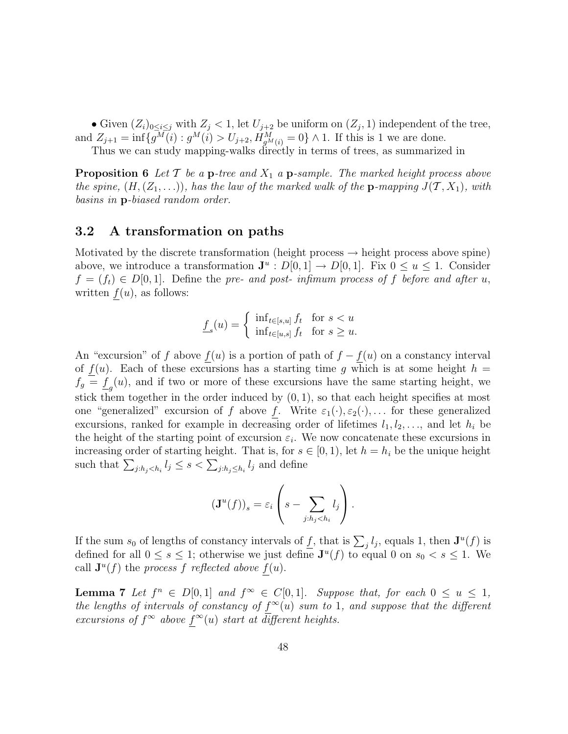• Given  $(Z_i)_{0 \leq i \leq j}$  with  $Z_j < 1$ , let  $U_{j+2}$  be uniform on  $(Z_j, 1)$  independent of the tree, and  $Z_{j+1} = \inf \{ g^M(i) : g^M(i) > U_{j+2}, H^M_{g^M(i)} = 0 \} \wedge 1$ . If this is 1 we are done.

Thus we can study mapping-walks directly in terms of trees, as summarized in

**Proposition 6** Let  $\mathcal{T}$  be a **p**-tree and  $X_1$  a **p**-sample. The marked height process above the spine,  $(H, (Z_1, \ldots))$ , has the law of the marked walk of the **p**-mapping  $J(\mathcal{T}, X_1)$ , with basins in p-biased random order.

### 3.2 A transformation on paths

Motivated by the discrete transformation (height process  $\rightarrow$  height process above spine) above, we introduce a transformation  $J^u : D[0,1] \to D[0,1]$ . Fix  $0 \le u \le 1$ . Consider  $f = (f_t) \in D[0,1]$ . Define the pre- and post- infimum process of f before and after u, written  $f(u)$ , as follows:

$$
\underline{f}_s(u) = \begin{cases} \inf_{t \in [s,u]} f_t & \text{for } s < u \\ \inf_{t \in [u,s]} f_t & \text{for } s \ge u. \end{cases}
$$

An "excursion" of f above  $f(u)$  is a portion of path of  $f - f(u)$  on a constancy interval of  $f(u)$ . Each of these excursions has a starting time g which is at some height  $h =$  $f_g = \underline{f}_g(u)$ , and if two or more of these excursions have the same starting height, we stick them together in the order induced by  $(0, 1)$ , so that each height specifies at most one "generalized" excursion of f above f. Write  $\varepsilon_1(\cdot), \varepsilon_2(\cdot), \ldots$  for these generalized excursions, ranked for example in decreasing order of lifetimes  $l_1, l_2, \ldots$ , and let  $h_i$  be the height of the starting point of excursion  $\varepsilon_i$ . We now concatenate these excursions in increasing order of starting height. That is, for  $s \in [0, 1)$ , let  $h = h_i$  be the unique height such that  $\sum_{j:h_j and define$ 

$$
(\mathbf{J}^u(f))_s = \varepsilon_i \left( s - \sum_{j:h_j < h_i} l_j \right).
$$

If the sum  $s_0$  of lengths of constancy intervals of  $\underline{f}$ , that is  $\sum_j l_j$ , equals 1, then  $\mathbf{J}^u(f)$  is defined for all  $0 \leq s \leq 1$ ; otherwise we just define  $J^u(f)$  to equal 0 on  $s_0 < s \leq 1$ . We call  $\mathbf{J}^u(f)$  the process f reflected above  $f(u)$ .

**Lemma 7** Let  $f^n \in D[0,1]$  and  $f^{\infty} \in C[0,1]$ . Suppose that, for each  $0 \le u \le 1$ , the lengths of intervals of constancy of  $f^{\infty}(u)$  sum to 1, and suppose that the different excursions of  $f^{\infty}$  above  $f^{\infty}(u)$  start at different heights.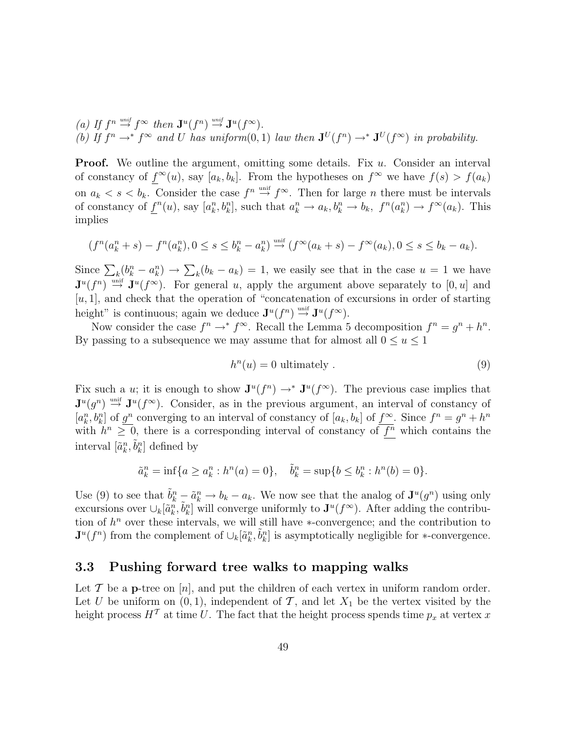(a) If  $f^n \stackrel{\textit{unif}}{\rightarrow} f^\infty$  then  $\mathbf{J}^u(f^n) \stackrel{\textit{unif}}{\rightarrow} \mathbf{J}^u(f^\infty)$ . (b) If  $f^n \to f^\infty$  and U has uniform(0,1) law then  $\mathbf{J}^U(f^n) \to \mathbf{J}^U(f^\infty)$  in probability.

**Proof.** We outline the argument, omitting some details. Fix  $u$ . Consider an interval of constancy of  $f^{\infty}(u)$ , say  $[a_k, b_k]$ . From the hypotheses on  $f^{\infty}$  we have  $f(s) > f(a_k)$ on  $a_k < s < b_k$ . Consider the case  $f^n \stackrel{\text{unif}}{\rightarrow} f^\infty$ . Then for large *n* there must be intervals of constancy of  $\underline{f}^n(u)$ , say  $[a_k^n, b_k^n]$ , such that  $a_k^n \to a_k, b_k^n \to b_k$ ,  $f^n(a_k^n) \to f^\infty(a_k)$ . This implies

$$
(f^{n}(a_{k}^{n}+s)-f^{n}(a_{k}^{n}), 0 \leq s \leq b_{k}^{n}-a_{k}^{n}) \stackrel{\text{unif}}{\rightarrow} (f^{\infty}(a_{k}+s)-f^{\infty}(a_{k}), 0 \leq s \leq b_{k}-a_{k}).
$$

Since  $\sum_{k} (b_k^n - a_k^n) \to \sum_{k} (b_k - a_k) = 1$ , we easily see that in the case  $u = 1$  we have  $\mathbf{J}^u(f^n) \stackrel{\text{unif}}{\rightarrow} \mathbf{J}^u(f^{\infty})$ . For general u, apply the argument above separately to [0, u] and  $[u, 1]$ , and check that the operation of "concatenation of excursions in order of starting height" is continuous; again we deduce  $\mathbf{J}^u(f^n) \stackrel{\text{unif}}{\rightarrow} \mathbf{J}^u(f^{\infty})$ .

Now consider the case  $f^n \to f^\infty$ . Recall the Lemma 5 decomposition  $f^n = g^n + h^n$ . By passing to a subsequence we may assume that for almost all  $0 \le u \le 1$ 

$$
h^n(u) = 0 \text{ ultimately }.
$$
\n
$$
(9)
$$

Fix such a u; it is enough to show  $\mathbf{J}^u(f^n) \to^* \mathbf{J}^u(f^{\infty})$ . The previous case implies that  $\mathbf{J}^u(g^n) \stackrel{\text{unif}}{\rightarrow} \mathbf{J}^u(f^{\infty})$ . Consider, as in the previous argument, an interval of constancy of  $[a_k^n, b_k^n]$  of  $\underline{g^n}$  converging to an interval of constancy of  $[a_k, b_k]$  of  $\underline{f^\infty}$ . Since  $f^n = g^n + h^n$ with  $h^n \geq 0$ , there is a corresponding interval of constancy of  $\overline{f^n}$  which contains the interval  $[\tilde{a}_k^n, \tilde{b}_k^n]$  defined by

$$
\tilde{a}_k^n = \inf\{a \ge a_k^n : h^n(a) = 0\}, \quad \tilde{b}_k^n = \sup\{b \le b_k^n : h^n(b) = 0\}.
$$

Use (9) to see that  $\tilde{b}_k^n - \tilde{a}_k^n \to b_k - a_k$ . We now see that the analog of  $\mathbf{J}^u(g^n)$  using only excursions over  $\cup_k[\tilde{a}_k^n, \tilde{b}_k^n]$  will converge uniformly to  $\mathbf{J}^u(f^{\infty})$ . After adding the contribution of  $h^n$  over these intervals, we will still have ∗-convergence; and the contribution to  $\mathbf{J}^u(f^n)$  from the complement of  $\cup_k[\tilde{a}_k^n, \tilde{b}_k^n]$  is asymptotically negligible for ∗-convergence.

#### 3.3 Pushing forward tree walks to mapping walks

Let  $\mathcal T$  be a **p**-tree on  $[n]$ , and put the children of each vertex in uniform random order. Let U be uniform on  $(0, 1)$ , independent of T, and let  $X_1$  be the vertex visited by the height process  $H^T$  at time U. The fact that the height process spends time  $p_x$  at vertex x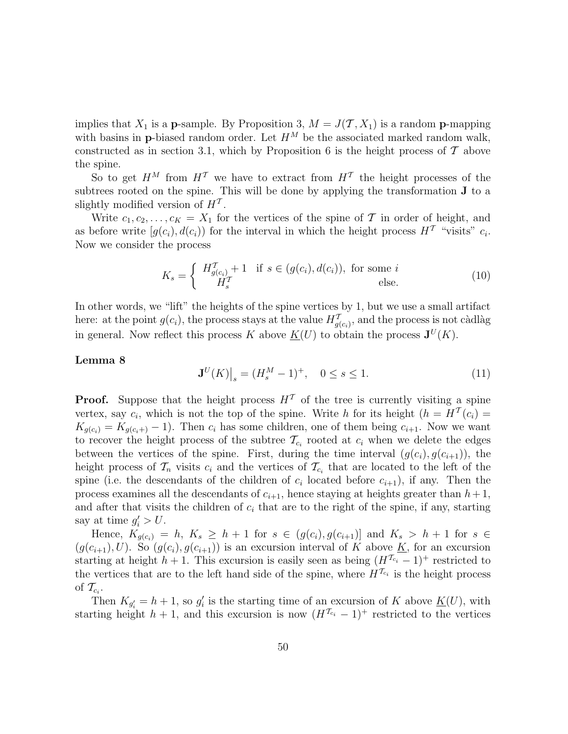implies that  $X_1$  is a **p**-sample. By Proposition 3,  $M = J(\mathcal{T}, X_1)$  is a random **p**-mapping with basins in **p**-biased random order. Let  $H^M$  be the associated marked random walk, constructed as in section 3.1, which by Proposition 6 is the height process of  $\mathcal T$  above the spine.

So to get  $H^M$  from  $H^T$  we have to extract from  $H^T$  the height processes of the subtrees rooted on the spine. This will be done by applying the transformation J to a slightly modified version of  $H<sup>T</sup>$ .

Write  $c_1, c_2, \ldots, c_K = X_1$  for the vertices of the spine of T in order of height, and as before write  $[g(c_i), d(c_i)]$  for the interval in which the height process  $H^T$  "visits"  $c_i$ . Now we consider the process

$$
K_s = \begin{cases} H_{g(c_i)}^{\mathcal{T}} + 1 & \text{if } s \in (g(c_i), d(c_i)), \text{ for some } i\\ H_s^{\mathcal{T}} & \text{else.} \end{cases}
$$
(10)

In other words, we "lift" the heights of the spine vertices by 1, but we use a small artifact here: at the point  $g(c_i)$ , the process stays at the value  $H^T_{g(c_i)}$ , and the process is not càdlàg in general. Now reflect this process K above  $\underline{K}(U)$  to obtain the process  $\mathbf{J}^{U}(K)$ .

#### Lemma 8

$$
\mathbf{J}^{U}(K)\big|_{s} = (H_s^M - 1)^+, \quad 0 \le s \le 1. \tag{11}
$$

**Proof.** Suppose that the height process  $H<sup>T</sup>$  of the tree is currently visiting a spine vertex, say  $c_i$ , which is not the top of the spine. Write h for its height  $(h = H^T(c_i) =$  $K_{g(c_i)} = K_{g(c_i+)} - 1$ . Then  $c_i$  has some children, one of them being  $c_{i+1}$ . Now we want to recover the height process of the subtree  $\mathcal{T}_{c_i}$  rooted at  $c_i$  when we delete the edges between the vertices of the spine. First, during the time interval  $(g(c_i), g(c_{i+1}))$ , the height process of  $\mathcal{T}_n$  visits  $c_i$  and the vertices of  $\mathcal{T}_{c_i}$  that are located to the left of the spine (i.e. the descendants of the children of  $c_i$  located before  $c_{i+1}$ ), if any. Then the process examines all the descendants of  $c_{i+1}$ , hence staying at heights greater than  $h+1$ , and after that visits the children of  $c_i$  that are to the right of the spine, if any, starting say at time  $g_i' > U$ .

Hence,  $K_{g(c_i)} = h$ ,  $K_s \geq h + 1$  for  $s \in (g(c_i), g(c_{i+1})]$  and  $K_s > h + 1$  for  $s \in$  $(g(c_{i+1}), U)$ . So  $(g(c_i), g(c_{i+1}))$  is an excursion interval of K above K, for an excursion starting at height h + 1. This excursion is easily seen as being  $(H^{\mathcal{T}_{c_i}}-1)^+$  restricted to the vertices that are to the left hand side of the spine, where  $H^{\mathcal{T}_{c_i}}$  is the height process of  $\mathcal{T}_{c_i}$ .

Then  $K_{g_i'} = h + 1$ , so  $g_i'$  is the starting time of an excursion of K above  $\underline{K}(U)$ , with starting height  $h + 1$ , and this excursion is now  $(H^{\mathcal{T}_{c_i}} - 1)^+$  restricted to the vertices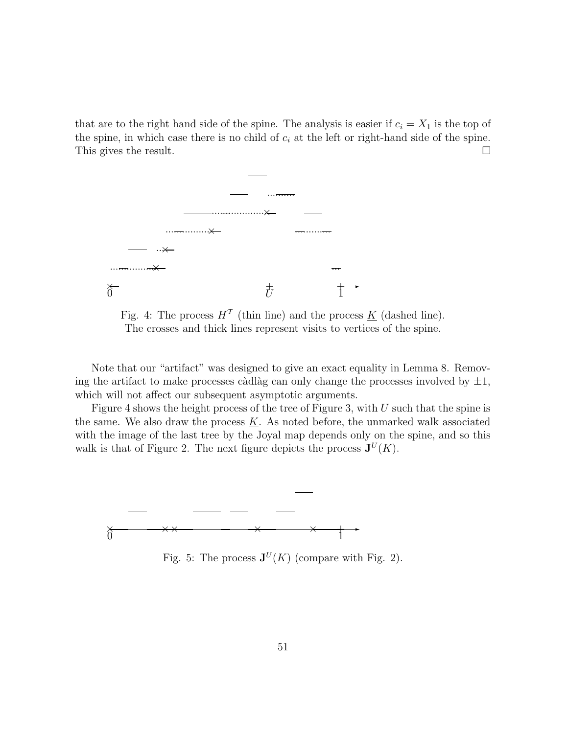that are to the right hand side of the spine. The analysis is easier if  $c_i = X_1$  is the top of the spine, in which case there is no child of  $c_i$  at the left or right-hand side of the spine. This gives the result.  $\Box$ 



Fig. 4: The process  $H<sup>T</sup>$  (thin line) and the process <u>K</u> (dashed line). The crosses and thick lines represent visits to vertices of the spine.

Note that our "artifact" was designed to give an exact equality in Lemma 8. Removing the artifact to make processes càdlàg can only change the processes involved by  $\pm 1$ , which will not affect our subsequent asymptotic arguments.

Figure 4 shows the height process of the tree of Figure 3, with  $U$  such that the spine is the same. We also draw the process  $K$ . As noted before, the unmarked walk associated with the image of the last tree by the Joyal map depends only on the spine, and so this walk is that of Figure 2. The next figure depicts the process  $J^U(K)$ .



Fig. 5: The process  $J^U(K)$  (compare with Fig. 2).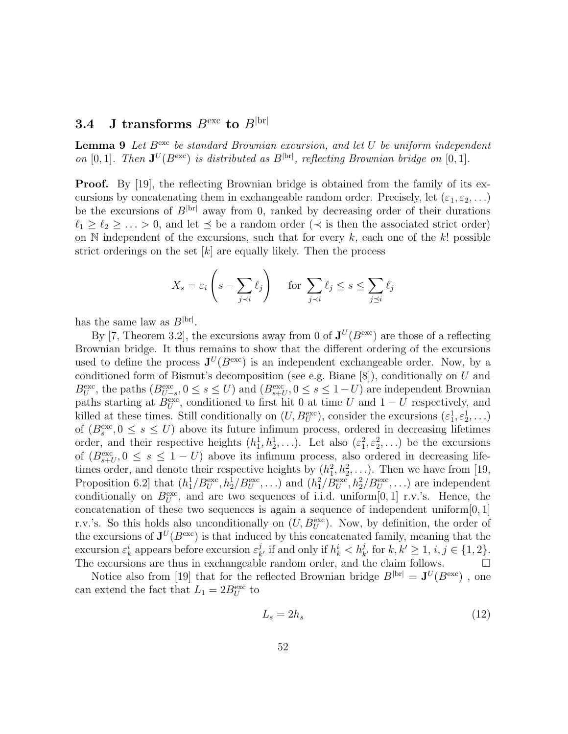### **3.4** J transforms  $B^{\text{exc}}$  to  $B^{\text{brr}}$

**Lemma 9** Let  $B^{\text{exc}}$  be standard Brownian excursion, and let U be uniform independent on [0, 1]. Then  $J^U(B^{exc})$  is distributed as  $B^{|\text{br}|}$ , reflecting Brownian bridge on [0, 1].

**Proof.** By [19], the reflecting Brownian bridge is obtained from the family of its excursions by concatenating them in exchangeable random order. Precisely, let  $(\varepsilon_1, \varepsilon_2, \ldots)$ be the excursions of  $B^{|\text{br}|}$  away from 0, ranked by decreasing order of their durations  $\ell_1 \geq \ell_2 \geq \ldots > 0$ , and let  $\preceq$  be a random order ( $\prec$  is then the associated strict order) on  $\mathbb N$  independent of the excursions, such that for every  $k$ , each one of the  $k!$  possible strict orderings on the set  $[k]$  are equally likely. Then the process

$$
X_s = \varepsilon_i \left( s - \sum_{j \prec i} \ell_j \right) \quad \text{for } \sum_{j \prec i} \ell_j \le s \le \sum_{j \preceq i} \ell_j
$$

has the same law as  $B^{\rm |br|}$ .

By [7, Theorem 3.2], the excursions away from 0 of  $J^U(B^{exc})$  are those of a reflecting Brownian bridge. It thus remains to show that the different ordering of the excursions used to define the process  $J^U(B^{exc})$  is an independent exchangeable order. Now, by a conditioned form of Bismut's decomposition (see e.g. Biane [8]), conditionally on U and  $B_U^{\text{exc}}$ , the paths  $(B_{U-s}^{\text{exc}}, 0 \leq s \leq U)$  and  $(B_{s+U}^{\text{exc}}, 0 \leq s \leq 1-U)$  are independent Brownian paths starting at  $B_U^{\text{exc}}$ , conditioned to first hit 0 at time U and  $1-U$  respectively, and killed at these times. Still conditionally on  $(U, B_U^{\text{exc}})$ , consider the excursions  $(\varepsilon_1^1, \varepsilon_2^1, \ldots)$ of  $(B_s^{\text{exc}}, 0 \leq s \leq U)$  above its future infimum process, ordered in decreasing lifetimes order, and their respective heights  $(h_1^1, h_2^1, \ldots)$ . Let also  $(\varepsilon_1^2, \varepsilon_2^2, \ldots)$  be the excursions of  $(B_{s+U}^{\text{exc}}, 0 \leq s \leq 1-U)$  above its infimum process, also ordered in decreasing lifetimes order, and denote their respective heights by  $(h_1^2, h_2^2, \ldots)$ . Then we have from [19, Proposition 6.2 that  $(h_1^1/B_U^{\text{exc}}, h_2^1/B_U^{\text{exc}}, \ldots)$  and  $(h_1^2/B_U^{\text{exc}}, h_2^2/B_U^{\text{exc}}, \ldots)$  are independent conditionally on  $B_U^{\text{exc}}$ , and are two sequences of i.i.d. uniform [0, 1] r.v.'s. Hence, the concatenation of these two sequences is again a sequence of independent uniform $[0, 1]$ r.v.'s. So this holds also unconditionally on  $(U, B_U^{\text{exc}})$ . Now, by definition, the order of the excursions of  $J^U(B^{exc})$  is that induced by this concatenated family, meaning that the excursion  $\varepsilon_k^i$  appears before excursion  $\varepsilon_k^j$  $\frac{d}{dt}$ , if and only if  $h_k^i < h_k^j$  $_{k'}^j$  for  $k, k' \geq 1, i, j \in \{1, 2\}.$ The excursions are thus in exchangeable random order, and the claim follows.  $\Box$ 

Notice also from [19] that for the reflected Brownian bridge  $B^{\rm |br|} = \mathbf{J}^U(B^{\rm exc})$ , one can extend the fact that  $L_1 = 2B_U^{\text{exc}}$  to

$$
L_s = 2h_s \tag{12}
$$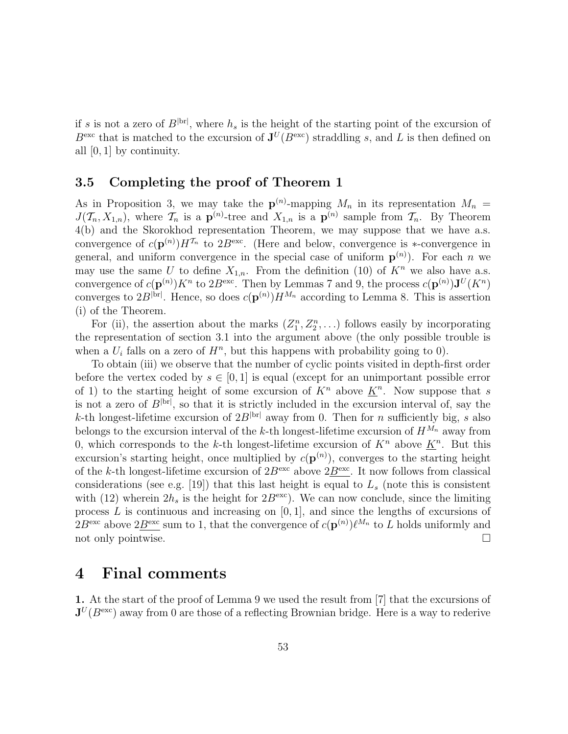if s is not a zero of  $B^{|\text{br}|}$ , where  $h_s$  is the height of the starting point of the excursion of  $B^{\text{exc}}$  that is matched to the excursion of  $J^U(B^{\text{exc}})$  straddling s, and L is then defined on all [0, 1] by continuity.

### 3.5 Completing the proof of Theorem 1

As in Proposition 3, we may take the  $p^{(n)}$ -mapping  $M_n$  in its representation  $M_n =$  $J(\mathcal{T}_n, X_{1,n})$ , where  $\mathcal{T}_n$  is a  $\mathbf{p}^{(n)}$ -tree and  $X_{1,n}$  is a  $\mathbf{p}^{(n)}$  sample from  $\mathcal{T}_n$ . By Theorem 4(b) and the Skorokhod representation Theorem, we may suppose that we have a.s. convergence of  $c(\mathbf{p}^{(n)})H^{T_n}$  to  $2B^{\text{exc}}$ . (Here and below, convergence is ∗-convergence in general, and uniform convergence in the special case of uniform  $p^{(n)}$ ). For each n we may use the same U to define  $X_{1,n}$ . From the definition (10) of  $K^n$  we also have a.s. convergence of  $c(\mathbf{p}^{(n)})K^n$  to  $2B^{\text{exc}}$ . Then by Lemmas 7 and 9, the process  $c(\mathbf{p}^{(n)})\mathbf{J}^U(K^n)$ converges to  $2B^{|br|}$ . Hence, so does  $c(p^{(n)})H^{M_n}$  according to Lemma 8. This is assertion (i) of the Theorem.

For (ii), the assertion about the marks  $(Z_1^n, Z_2^n, \ldots)$  follows easily by incorporating the representation of section 3.1 into the argument above (the only possible trouble is when a  $U_i$  falls on a zero of  $H^n$ , but this happens with probability going to 0).

To obtain (iii) we observe that the number of cyclic points visited in depth-first order before the vertex coded by  $s \in [0,1]$  is equal (except for an unimportant possible error of 1) to the starting height of some excursion of  $K<sup>n</sup>$  above  $\underline{K}<sup>n</sup>$ . Now suppose that s is not a zero of  $B^{|\text{br}|}$ , so that it is strictly included in the excursion interval of, say the k-th longest-lifetime excursion of  $2B^{|\text{br}|}$  away from 0. Then for n sufficiently big, s also belongs to the excursion interval of the k-th longest-lifetime excursion of  $H^{M_n}$  away from 0, which corresponds to the k-th longest-lifetime excursion of  $K<sup>n</sup>$  above  $\underline{K}<sup>n</sup>$ . But this excursion's starting height, once multiplied by  $c(p^{(n)})$ , converges to the starting height of the k-th longest-lifetime excursion of  $2B^{\text{exc}}$  above  $2\underline{B}^{\text{exc}}$ . It now follows from classical considerations (see e.g. [19]) that this last height is equal to  $L<sub>s</sub>$  (note this is consistent with (12) wherein  $2h_s$  is the height for  $2B^{\text{exc}}$ ). We can now conclude, since the limiting process  $L$  is continuous and increasing on  $[0, 1]$ , and since the lengths of excursions of  $2B^{\text{exc}}$  above  $2B^{\text{exc}}$  sum to 1, that the convergence of  $c(\mathbf{p}^{(n)})\ell^{M_n}$  to L holds uniformly and not only pointwise.  $\Box$ 

## 4 Final comments

1. At the start of the proof of Lemma 9 we used the result from [7] that the excursions of  ${\bf J}^{U}(B^{\rm exc})$  away from 0 are those of a reflecting Brownian bridge. Here is a way to rederive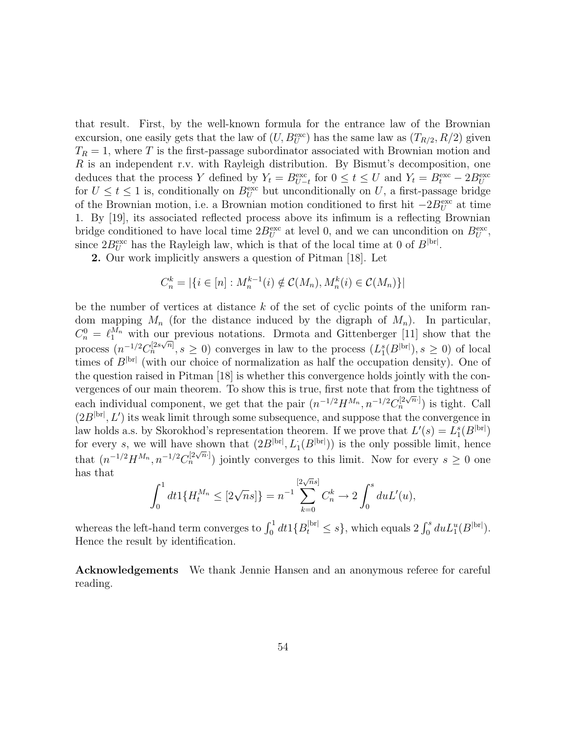that result. First, by the well-known formula for the entrance law of the Brownian excursion, one easily gets that the law of  $(U, B_U^{\text{exc}})$  has the same law as  $(T_{R/2}, R/2)$  given  $T_R = 1$ , where T is the first-passage subordinator associated with Brownian motion and R is an independent r.v. with Rayleigh distribution. By Bismut's decomposition, one deduces that the process Y defined by  $Y_t = B_{U-t}^{\text{exc}}$  for  $0 \le t \le U$  and  $Y_t = B_t^{\text{exc}} - 2B_U^{\text{exc}}$ for  $U \leq t \leq 1$  is, conditionally on  $B_U^{\text{exc}}$  but unconditionally on U, a first-passage bridge of the Brownian motion, i.e. a Brownian motion conditioned to first hit  $-2B_U^{\text{exc}}$  at time 1. By [19], its associated reflected process above its infimum is a reflecting Brownian bridge conditioned to have local time  $2B_U^{\text{exc}}$  at level 0, and we can uncondition on  $B_U^{\text{exc}}$ , since  $2B_U^{\text{exc}}$  has the Rayleigh law, which is that of the local time at 0 of  $B^{\text{bri}}$ .

2. Our work implicitly answers a question of Pitman [18]. Let

$$
C_n^k = |\{ i \in [n] : M_n^{k-1}(i) \notin \mathcal{C}(M_n), M_n^k(i) \in \mathcal{C}(M_n) \}|
$$

be the number of vertices at distance  $k$  of the set of cyclic points of the uniform random mapping  $M_n$  (for the distance induced by the digraph of  $M_n$ ). In particular,  $C_n^0 = \ell_1^{M_n}$  with our previous notations. Drmota and Gittenberger [11] show that the process  $(n^{-1/2}C_n^{[2s\sqrt{n}]}, s \ge 0)$  converges in law to the process  $(L_1^s(B^{[br]}), s \ge 0)$  of local times of  $B^{|\text{br}|}$  (with our choice of normalization as half the occupation density). One of the question raised in Pitman [18] is whether this convergence holds jointly with the convergences of our main theorem. To show this is true, first note that from the tightness of each individual component, we get that the pair  $(n^{-1/2}H^{M_n}, n^{-1/2}C_n^{[2\sqrt{n} \cdot]} )$  is tight. Call  $(2B^{\vert\text{br}\vert}, L')$  its weak limit through some subsequence, and suppose that the convergence in law holds a.s. by Skorokhod's representation theorem. If we prove that  $L'(s) = L_1^s(B^{|\text{br}|})$ for every s, we will have shown that  $(2B^{\rm [br]}, L_1(B^{\rm [br]})$  is the only possible limit, hence that  $(n^{-1/2}H^{M_n}, n^{-1/2}C_n^{[2\sqrt{n}]} )$  jointly converges to this limit. Now for every  $s \geq 0$  one has that

$$
\int_0^1 dt 1\{H_t^{M_n} \le [2\sqrt{n}s]\} = n^{-1} \sum_{k=0}^{[2\sqrt{n}s]} C_n^k \to 2 \int_0^s du L'(u),
$$

whereas the left-hand term converges to  $\int_0^1 dt 1\{B_t^{\text{bri}} \leq s\}$ , which equals  $2 \int_0^s du L_1^u(B^{\text{bri}})$ . Hence the result by identification.

Acknowledgements We thank Jennie Hansen and an anonymous referee for careful reading.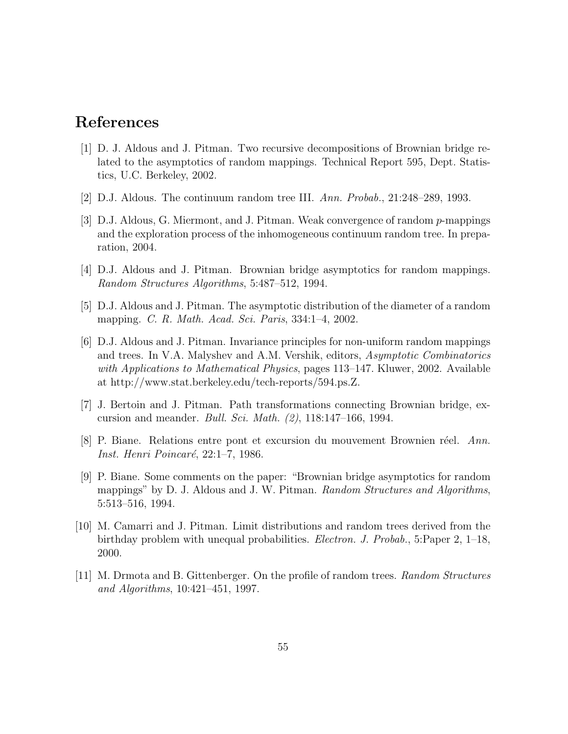# References

- [1] D. J. Aldous and J. Pitman. Two recursive decompositions of Brownian bridge related to the asymptotics of random mappings. Technical Report 595, Dept. Statistics, U.C. Berkeley, 2002.
- [2] D.J. Aldous. The continuum random tree III. Ann. Probab., 21:248–289, 1993.
- [3] D.J. Aldous, G. Miermont, and J. Pitman. Weak convergence of random p-mappings and the exploration process of the inhomogeneous continuum random tree. In preparation, 2004.
- [4] D.J. Aldous and J. Pitman. Brownian bridge asymptotics for random mappings. Random Structures Algorithms, 5:487–512, 1994.
- [5] D.J. Aldous and J. Pitman. The asymptotic distribution of the diameter of a random mapping. C. R. Math. Acad. Sci. Paris, 334:1–4, 2002.
- [6] D.J. Aldous and J. Pitman. Invariance principles for non-uniform random mappings and trees. In V.A. Malyshev and A.M. Vershik, editors, Asymptotic Combinatorics with Applications to Mathematical Physics, pages 113–147. Kluwer, 2002. Available at http://www.stat.berkeley.edu/tech-reports/594.ps.Z.
- [7] J. Bertoin and J. Pitman. Path transformations connecting Brownian bridge, excursion and meander. Bull. Sci. Math. (2), 118:147–166, 1994.
- [8] P. Biane. Relations entre pont et excursion du mouvement Brownien réel. Ann. Inst. Henri Poincaré, 22:1–7, 1986.
- [9] P. Biane. Some comments on the paper: "Brownian bridge asymptotics for random mappings" by D. J. Aldous and J. W. Pitman. Random Structures and Algorithms, 5:513–516, 1994.
- [10] M. Camarri and J. Pitman. Limit distributions and random trees derived from the birthday problem with unequal probabilities. Electron. J. Probab., 5:Paper 2, 1–18, 2000.
- [11] M. Drmota and B. Gittenberger. On the profile of random trees. Random Structures and Algorithms, 10:421–451, 1997.